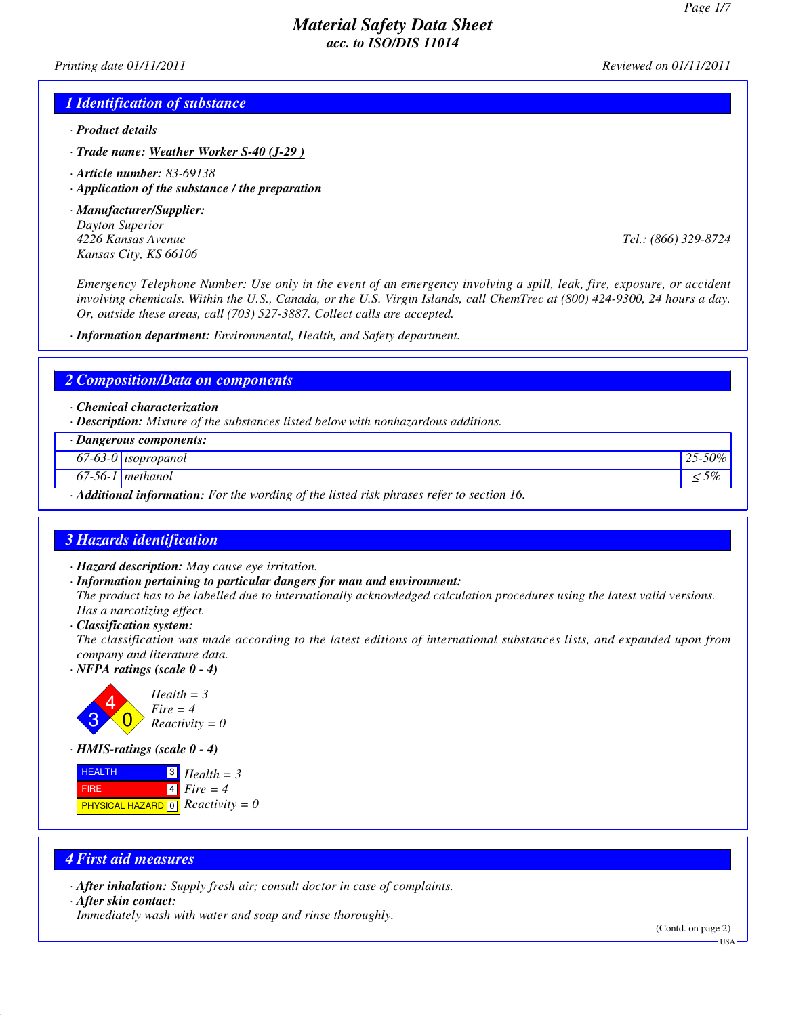*Printing date 01/11/2011 Reviewed on 01/11/2011*

#### *1 Identification of substance*

- *· Product details*
- *· Trade name: Weather Worker S-40 (J-29 )*
- *· Article number: 83-69138*
- *· Application of the substance / the preparation*
- *· Manufacturer/Supplier: Dayton Superior Kansas City, KS 66106*

*4226 Kansas Avenue Tel.: (866) 329-8724*

*Emergency Telephone Number: Use only in the event of an emergency involving a spill, leak, fire, exposure, or accident involving chemicals. Within the U.S., Canada, or the U.S. Virgin Islands, call ChemTrec at (800) 424-9300, 24 hours a day. Or, outside these areas, call (703) 527-3887. Collect calls are accepted.*

*· Information department: Environmental, Health, and Safety department.*

#### *2 Composition/Data on components*

*· Chemical characterization*

*· Description: Mixture of the substances listed below with nonhazardous additions.*

| · Dangerous components:                                                                                |                       |            |
|--------------------------------------------------------------------------------------------------------|-----------------------|------------|
|                                                                                                        | $67-63-0$ isopropanol | 25-50%     |
|                                                                                                        | 67-56-1   methanol    | $\leq 5\%$ |
| $\cdot$ <b>Additional information:</b> For the wording of the listed risk phrases refer to section 16. |                       |            |

### *3 Hazards identification*

- *· Hazard description: May cause eye irritation.*
- *· Information pertaining to particular dangers for man and environment:*

*The product has to be labelled due to internationally acknowledged calculation procedures using the latest valid versions. Has a narcotizing effect.*

*· Classification system:*

*The classification was made according to the latest editions of international substances lists, and expanded upon from company and literature data.*

*· NFPA ratings (scale 0 - 4)*



*· HMIS-ratings (scale 0 - 4)*



### *4 First aid measures*

*· After inhalation: Supply fresh air; consult doctor in case of complaints.*

*· After skin contact:*

*Immediately wash with water and soap and rinse thoroughly.*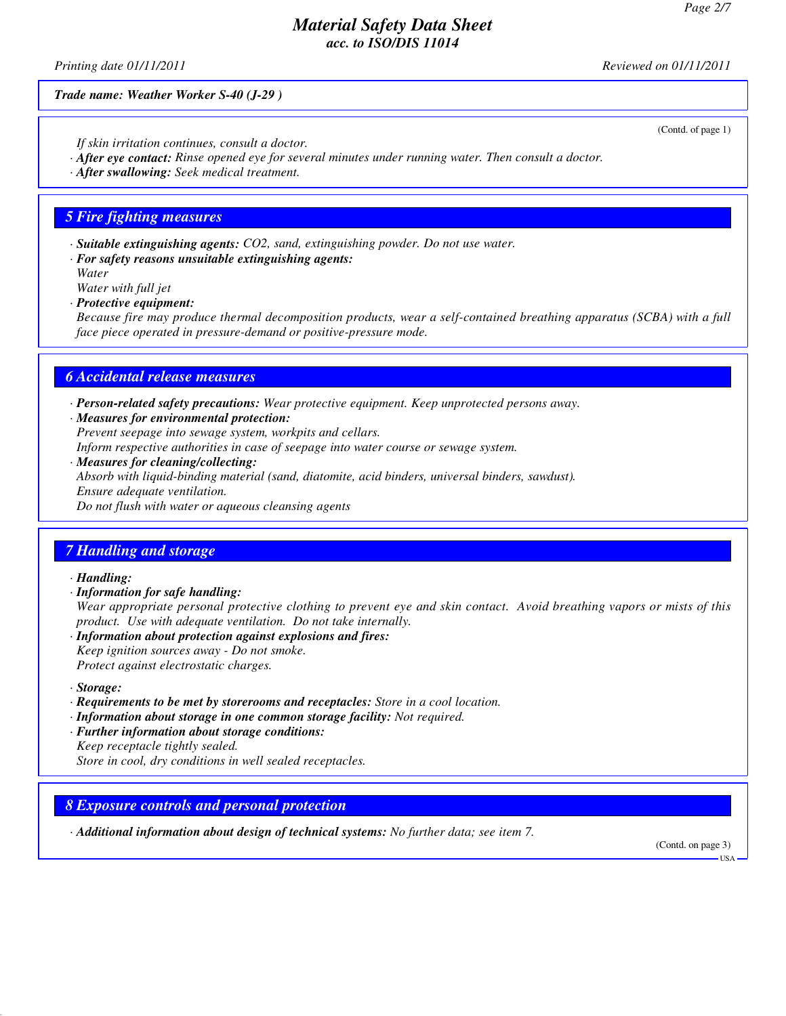*Printing date 01/11/2011 Reviewed on 01/11/2011*

*Trade name: Weather Worker S-40 (J-29 )*

(Contd. of page 1)

- *If skin irritation continues, consult a doctor.*
- *· After eye contact: Rinse opened eye for several minutes under running water. Then consult a doctor.*
- *· After swallowing: Seek medical treatment.*

### *5 Fire fighting measures*

- *· Suitable extinguishing agents: CO2, sand, extinguishing powder. Do not use water.*
- *· For safety reasons unsuitable extinguishing agents: Water*
- *Water with full jet*
- *· Protective equipment:*

*Because fire may produce thermal decomposition products, wear a self-contained breathing apparatus (SCBA) with a full face piece operated in pressure-demand or positive-pressure mode.*

### *6 Accidental release measures*

- *· Person-related safety precautions: Wear protective equipment. Keep unprotected persons away.*
- *· Measures for environmental protection:*
- *Prevent seepage into sewage system, workpits and cellars.*
- *Inform respective authorities in case of seepage into water course or sewage system.*
- *· Measures for cleaning/collecting: Absorb with liquid-binding material (sand, diatomite, acid binders, universal binders, sawdust). Ensure adequate ventilation. Do not flush with water or aqueous cleansing agents*

## *7 Handling and storage*

#### *· Handling:*

- *· Information for safe handling: Wear appropriate personal protective clothing to prevent eye and skin contact. Avoid breathing vapors or mists of this product. Use with adequate ventilation. Do not take internally.*
- *· Information about protection against explosions and fires: Keep ignition sources away - Do not smoke. Protect against electrostatic charges.*
- *· Storage:*
- *· Requirements to be met by storerooms and receptacles: Store in a cool location.*
- *· Information about storage in one common storage facility: Not required.*
- *· Further information about storage conditions: Keep receptacle tightly sealed.*
- *Store in cool, dry conditions in well sealed receptacles.*

### *8 Exposure controls and personal protection*

*· Additional information about design of technical systems: No further data; see item 7.*

(Contd. on page 3)

USA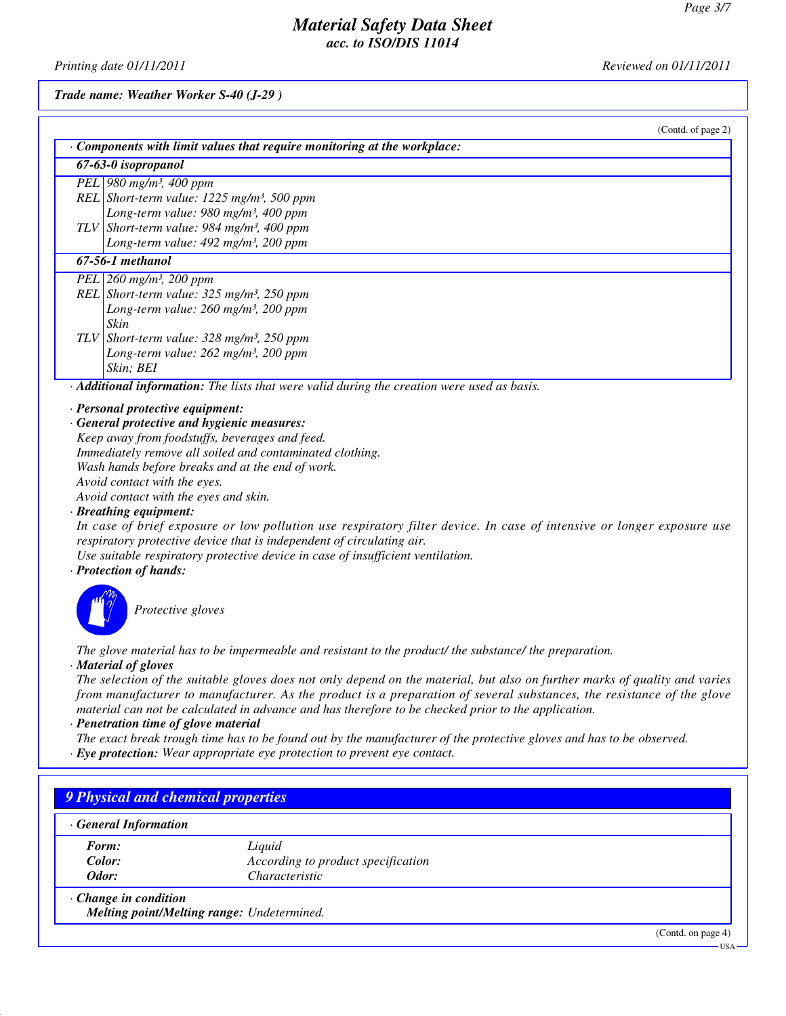USA

# *Material Safety Data Sheet acc. to ISO/DIS 11014*

*Printing date 01/11/2011 Reviewed on 01/11/2011*

*Trade name: Weather Worker S-40 (J-29 )*

| (Contd. of page 2)                                                                                       |
|----------------------------------------------------------------------------------------------------------|
| Components with limit values that require monitoring at the workplace:                                   |
| 67-63-0 isopropanol                                                                                      |
| PEL 980 mg/m <sup>3</sup> , 400 ppm                                                                      |
| REL Short-term value: $1225$ mg/m <sup>3</sup> , 500 ppm                                                 |
| Long-term value: $980$ mg/m <sup>3</sup> , $400$ ppm                                                     |
| TLV Short-term value: $984$ mg/m <sup>3</sup> , 400 ppm                                                  |
| Long-term value: 492 mg/m <sup>3</sup> , 200 ppm                                                         |
| 67-56-1 methanol                                                                                         |
| PEL 260 mg/m <sup>3</sup> , 200 ppm                                                                      |
| REL Short-term value: $325$ mg/m <sup>3</sup> , $250$ ppm                                                |
| Long-term value: $260$ mg/m <sup>3</sup> , $200$ ppm                                                     |
| Skin                                                                                                     |
| TLV Short-term value: $328 \text{ mg/m}^3$ , $250 \text{ ppm}$                                           |
| Long-term value: $262$ mg/m <sup>3</sup> , 200 ppm                                                       |
| Skin; BEI                                                                                                |
| $\cdot$ <b>Additional information:</b> The lists that were valid during the creation were used as basis. |

#### *· Personal protective equipment:*

*· General protective and hygienic measures: Keep away from foodstuffs, beverages and feed. Immediately remove all soiled and contaminated clothing. Wash hands before breaks and at the end of work. Avoid contact with the eyes. Avoid contact with the eyes and skin.*

*· Breathing equipment:*

*In case of brief exposure or low pollution use respiratory filter device. In case of intensive or longer exposure use respiratory protective device that is independent of circulating air.*

*Use suitable respiratory protective device in case of insufficient ventilation.*

#### *· Protection of hands:*



*Protective gloves*

*The glove material has to be impermeable and resistant to the product/ the substance/ the preparation.*

*· Material of gloves*

*The selection of the suitable gloves does not only depend on the material, but also on further marks of quality and varies from manufacturer to manufacturer. As the product is a preparation of several substances, the resistance of the glove material can not be calculated in advance and has therefore to be checked prior to the application.*

*· Penetration time of glove material*

*The exact break trough time has to be found out by the manufacturer of the protective gloves and has to be observed.*

*· Eye protection: Wear appropriate eye protection to prevent eye contact.*

| <b>General Information</b>  |                                            |  |
|-----------------------------|--------------------------------------------|--|
| Form:                       | Liquid                                     |  |
| Color:                      | According to product specification         |  |
| Odor:                       | Characteristic                             |  |
| $\cdot$ Change in condition | Melting point/Melting range: Undetermined. |  |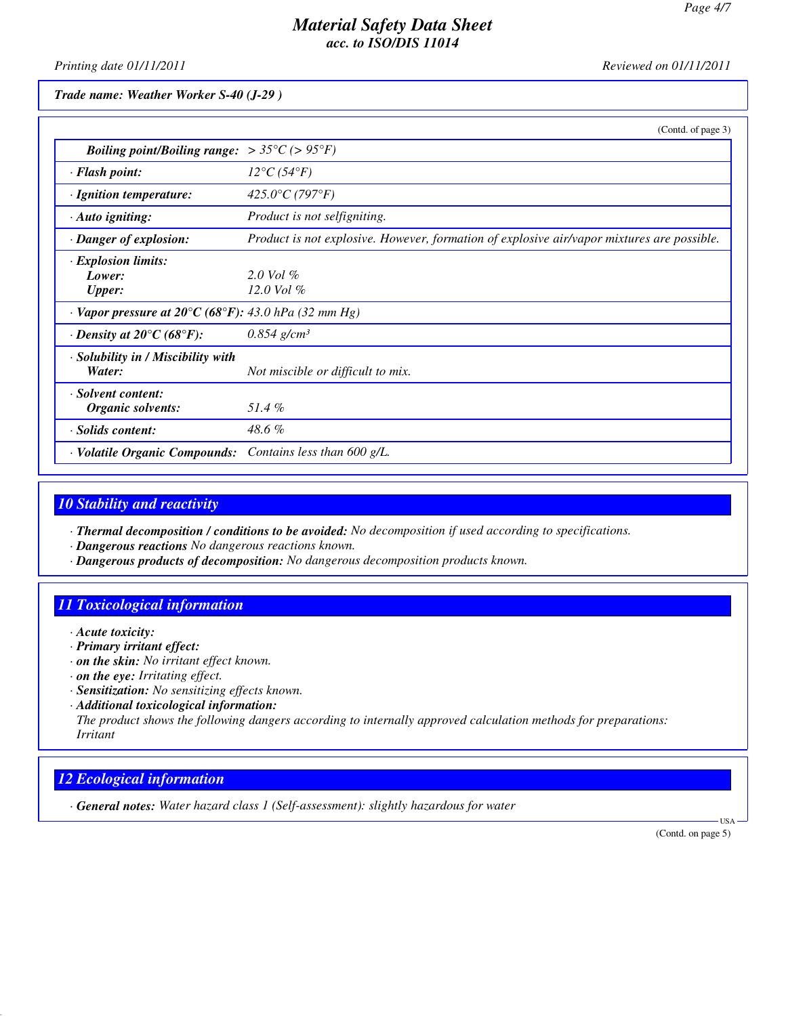*Printing date 01/11/2011 Reviewed on 01/11/2011*

*Trade name: Weather Worker S-40 (J-29 )*

|                                                                         | (Contd. of page 3)                                                                         |
|-------------------------------------------------------------------------|--------------------------------------------------------------------------------------------|
| <i>Boiling point/Boiling range:</i> $> 35^{\circ}C$ ( $> 95^{\circ}F$ ) |                                                                                            |
| · Flash point:                                                          | $12^{\circ}C(54^{\circ}F)$                                                                 |
| · Ignition temperature:                                                 | 425.0°C (797°F)                                                                            |
| $\cdot$ Auto igniting:                                                  | Product is not selfigniting.                                                               |
| · Danger of explosion:                                                  | Product is not explosive. However, formation of explosive air/vapor mixtures are possible. |
| · Explosion limits:<br>Lower:<br><b>Upper:</b>                          | $2.0$ Vol $\%$<br>12.0 Vol $\%$                                                            |
| $\cdot$ Vapor pressure at 20°C (68°F): 43.0 hPa (32 mm Hg)              |                                                                                            |
| $\cdot$ Density at 20 $\mathrm{^{\circ}C}$ (68 $\mathrm{^{\circ}F}$ ):  | $0.854$ g/cm <sup>3</sup>                                                                  |
| · Solubility in / Miscibility with<br>Water:                            | Not miscible or difficult to mix.                                                          |
| · Solvent content:<br>Organic solvents:                                 | 51.4%                                                                                      |
| · Solids content:                                                       | 48.6%                                                                                      |
| · Volatile Organic Compounds: Contains less than 600 g/L.               |                                                                                            |

# *10 Stability and reactivity*

*· Thermal decomposition / conditions to be avoided: No decomposition if used according to specifications.*

- *· Dangerous reactions No dangerous reactions known.*
- *· Dangerous products of decomposition: No dangerous decomposition products known.*

# *11 Toxicological information*

- *· Acute toxicity:*
- *· Primary irritant effect:*
- *· on the skin: No irritant effect known.*
- *· on the eye: Irritating effect.*
- *· Sensitization: No sensitizing effects known.*
- *· Additional toxicological information:*

*The product shows the following dangers according to internally approved calculation methods for preparations: Irritant*

# *12 Ecological information*

*· General notes: Water hazard class 1 (Self-assessment): slightly hazardous for water*

(Contd. on page 5)

USA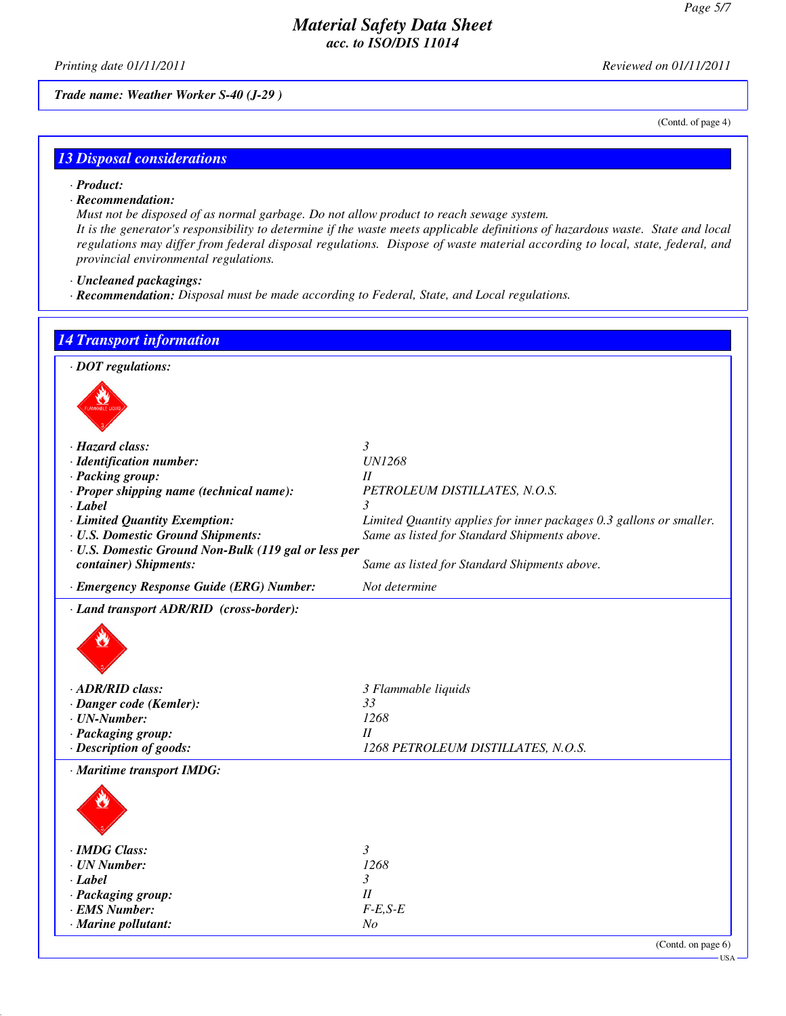(Contd. of page 4)

## *Material Safety Data Sheet acc. to ISO/DIS 11014*

*Printing date 01/11/2011 Reviewed on 01/11/2011*

*Trade name: Weather Worker S-40 (J-29 )*

# *13 Disposal considerations*

- *· Product:*
- *· Recommendation:*

*Must not be disposed of as normal garbage. Do not allow product to reach sewage system. It is the generator's responsibility to determine if the waste meets applicable definitions of hazardous waste. State and local regulations may differ from federal disposal regulations. Dispose of waste material according to local, state, federal, and provincial environmental regulations.*

- *· Uncleaned packagings:*
- *· Recommendation: Disposal must be made according to Federal, State, and Local regulations.*

| $\cdot$ DOT regulations:                             |                                                                     |
|------------------------------------------------------|---------------------------------------------------------------------|
|                                                      |                                                                     |
|                                                      |                                                                     |
| · Hazard class:                                      | $\mathfrak{Z}$                                                      |
| · Identification number:                             | <b>UN1268</b>                                                       |
| · Packing group:                                     | II                                                                  |
| · Proper shipping name (technical name):<br>· Label  | PETROLEUM DISTILLATES, N.O.S.<br>3                                  |
| · Limited Quantity Exemption:                        | Limited Quantity applies for inner packages 0.3 gallons or smaller. |
| · U.S. Domestic Ground Shipments:                    | Same as listed for Standard Shipments above.                        |
| · U.S. Domestic Ground Non-Bulk (119 gal or less per |                                                                     |
| container) Shipments:                                | Same as listed for Standard Shipments above.                        |
| · Emergency Response Guide (ERG) Number:             | Not determine                                                       |
| · Land transport ADR/RID (cross-border):             |                                                                     |
|                                                      |                                                                     |
| · ADR/RID class:                                     | 3 Flammable liquids                                                 |
| · Danger code (Kemler):                              | 33                                                                  |
| $\cdot$ UN-Number:                                   | 1268                                                                |
| · Packaging group:                                   | $I\!I$                                                              |
| · Description of goods:                              | 1268 PETROLEUM DISTILLATES, N.O.S.                                  |
| · Maritime transport IMDG:                           |                                                                     |
|                                                      |                                                                     |
| · IMDG Class:                                        | $\mathfrak{Z}$                                                      |
| · UN Number:                                         | 1268                                                                |
| · Label                                              | 3                                                                   |
| · Packaging group:                                   | II                                                                  |
| · EMS Number:                                        | $F-E, S-E$                                                          |
| $\cdot$ Marine pollutant:                            | No                                                                  |
|                                                      | (Contd. on page 6)                                                  |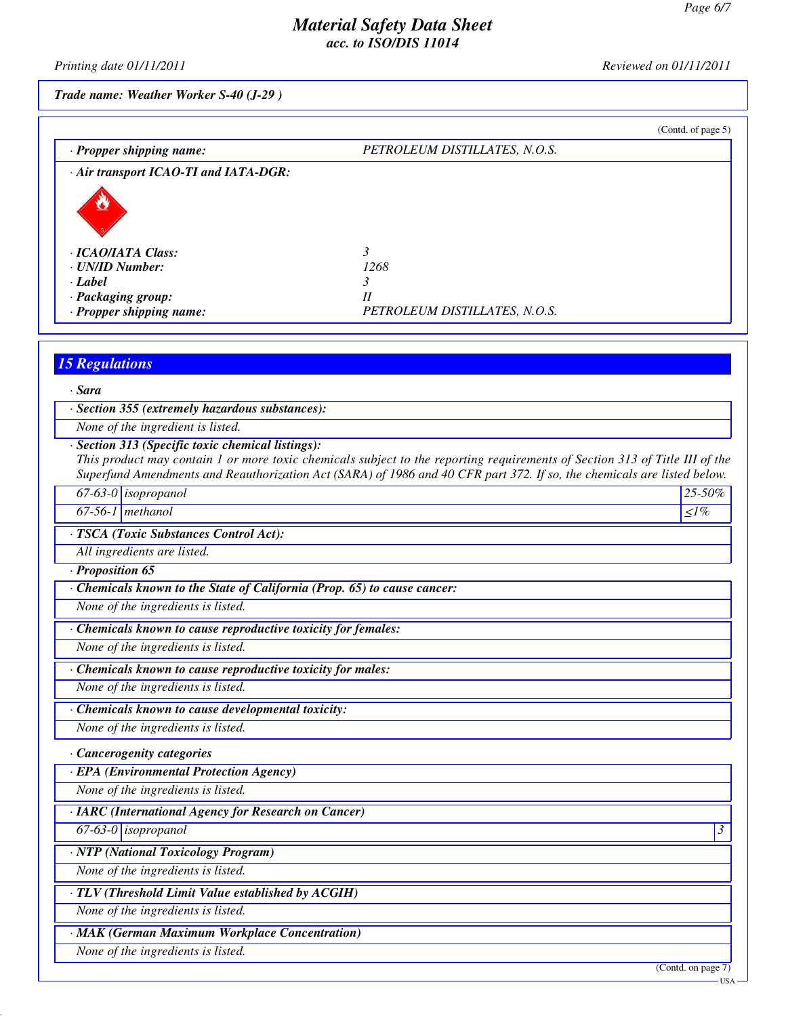*Printing date 01/11/2011 Reviewed on 01/11/2011*

### *Trade name: Weather Worker S-40 (J-29 )*

|                                                                                                                | (Contd. of page 5)                                                                                                                |
|----------------------------------------------------------------------------------------------------------------|-----------------------------------------------------------------------------------------------------------------------------------|
| · Propper shipping name:                                                                                       | PETROLEUM DISTILLATES, N.O.S.                                                                                                     |
| · Air transport ICAO-TI and IATA-DGR:                                                                          |                                                                                                                                   |
|                                                                                                                |                                                                                                                                   |
|                                                                                                                |                                                                                                                                   |
|                                                                                                                |                                                                                                                                   |
| · ICAO/IATA Class:                                                                                             | 3                                                                                                                                 |
| · UN/ID Number:                                                                                                | 1268                                                                                                                              |
| $\cdot$ Label                                                                                                  | 3<br>$I\!I$                                                                                                                       |
| · Packaging group:<br>· Propper shipping name:                                                                 | PETROLEUM DISTILLATES, N.O.S.                                                                                                     |
|                                                                                                                |                                                                                                                                   |
|                                                                                                                |                                                                                                                                   |
| <b>15 Regulations</b>                                                                                          |                                                                                                                                   |
| · Sara                                                                                                         |                                                                                                                                   |
| · Section 355 (extremely hazardous substances):                                                                |                                                                                                                                   |
| None of the ingredient is listed.                                                                              |                                                                                                                                   |
| · Section 313 (Specific toxic chemical listings):                                                              |                                                                                                                                   |
|                                                                                                                | This product may contain 1 or more toxic chemicals subject to the reporting requirements of Section 313 of Title III of the       |
| $67-63-0$ isopropanol                                                                                          | Superfund Amendments and Reauthorization Act (SARA) of 1986 and 40 CFR part 372. If so, the chemicals are listed below.<br>25-50% |
| $67-56-1$ methanol                                                                                             | $\leq l\%$                                                                                                                        |
|                                                                                                                |                                                                                                                                   |
| · TSCA (Toxic Substances Control Act):                                                                         |                                                                                                                                   |
| All ingredients are listed.                                                                                    |                                                                                                                                   |
| · Proposition 65                                                                                               |                                                                                                                                   |
| · Chemicals known to the State of California (Prop. 65) to cause cancer:<br>None of the ingredients is listed. |                                                                                                                                   |
|                                                                                                                |                                                                                                                                   |
| · Chemicals known to cause reproductive toxicity for females:                                                  |                                                                                                                                   |
| None of the ingredients is listed.                                                                             |                                                                                                                                   |
| · Chemicals known to cause reproductive toxicity for males:                                                    |                                                                                                                                   |
| None of the ingredients is listed.                                                                             |                                                                                                                                   |
| · Chemicals known to cause developmental toxicity:                                                             |                                                                                                                                   |
| None of the ingredients is listed.                                                                             |                                                                                                                                   |
| · Cancerogenity categories                                                                                     |                                                                                                                                   |
| · EPA (Environmental Protection Agency)                                                                        |                                                                                                                                   |
| None of the ingredients is listed.                                                                             |                                                                                                                                   |
|                                                                                                                |                                                                                                                                   |
| · IARC (International Agency for Research on Cancer)                                                           |                                                                                                                                   |
| 67-63-0 <i>isopropanol</i>                                                                                     |                                                                                                                                   |
| · NTP (National Toxicology Program)                                                                            |                                                                                                                                   |
| None of the ingredients is listed.                                                                             |                                                                                                                                   |
| · TLV (Threshold Limit Value established by ACGIH)                                                             |                                                                                                                                   |

*· MAK (German Maximum Workplace Concentration)*

*None of the ingredients is listed.*

(Contd. on page 7)